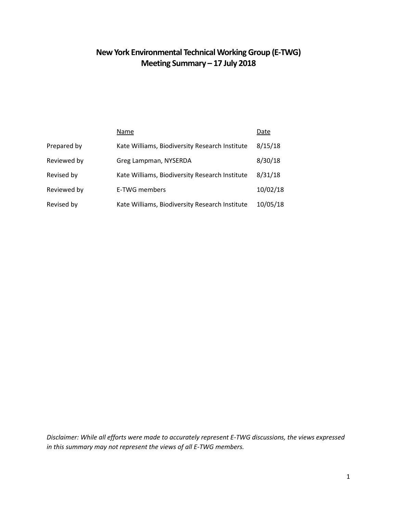# **New York Environmental Technical Working Group (E-TWG) Meeting Summary – 17 July 2018**

|             | Name                                           | Date     |
|-------------|------------------------------------------------|----------|
| Prepared by | Kate Williams, Biodiversity Research Institute | 8/15/18  |
| Reviewed by | Greg Lampman, NYSERDA                          | 8/30/18  |
| Revised by  | Kate Williams, Biodiversity Research Institute | 8/31/18  |
| Reviewed by | E-TWG members                                  | 10/02/18 |
| Revised by  | Kate Williams, Biodiversity Research Institute | 10/05/18 |

*Disclaimer: While all efforts were made to accurately represent E-TWG discussions, the views expressed in this summary may not represent the views of all E-TWG members.*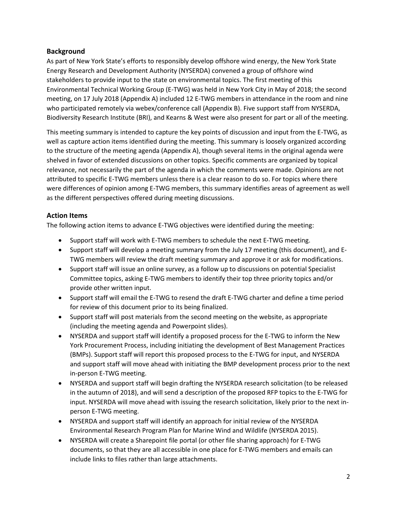# **Background**

As part of New York State's efforts to responsibly develop offshore wind energy, the New York State Energy Research and Development Authority (NYSERDA) convened a group of offshore wind stakeholders to provide input to the state on environmental topics. The first meeting of this Environmental Technical Working Group (E-TWG) was held in New York City in May of 2018; the second meeting, on 17 July 2018 (Appendix A) included 12 E-TWG members in attendance in the room and nine who participated remotely via webex/conference call (Appendix B). Five support staff from NYSERDA, Biodiversity Research Institute (BRI), and Kearns & West were also present for part or all of the meeting.

This meeting summary is intended to capture the key points of discussion and input from the E-TWG, as well as capture action items identified during the meeting. This summary is loosely organized according to the structure of the meeting agenda (Appendix A), though several items in the original agenda were shelved in favor of extended discussions on other topics. Specific comments are organized by topical relevance, not necessarily the part of the agenda in which the comments were made. Opinions are not attributed to specific E-TWG members unless there is a clear reason to do so. For topics where there were differences of opinion among E-TWG members, this summary identifies areas of agreement as well as the different perspectives offered during meeting discussions.

# **Action Items**

The following action items to advance E-TWG objectives were identified during the meeting:

- Support staff will work with E-TWG members to schedule the next E-TWG meeting.
- Support staff will develop a meeting summary from the July 17 meeting (this document), and E-TWG members will review the draft meeting summary and approve it or ask for modifications.
- Support staff will issue an online survey, as a follow up to discussions on potential Specialist Committee topics, asking E-TWG members to identify their top three priority topics and/or provide other written input.
- Support staff will email the E-TWG to resend the draft E-TWG charter and define a time period for review of this document prior to its being finalized.
- Support staff will post materials from the second meeting on the website, as appropriate (including the meeting agenda and Powerpoint slides).
- NYSERDA and support staff will identify a proposed process for the E-TWG to inform the New York Procurement Process, including initiating the development of Best Management Practices (BMPs). Support staff will report this proposed process to the E-TWG for input, and NYSERDA and support staff will move ahead with initiating the BMP development process prior to the next in-person E-TWG meeting.
- NYSERDA and support staff will begin drafting the NYSERDA research solicitation (to be released in the autumn of 2018), and will send a description of the proposed RFP topics to the E-TWG for input. NYSERDA will move ahead with issuing the research solicitation, likely prior to the next inperson E-TWG meeting.
- NYSERDA and support staff will identify an approach for initial review of the NYSERDA Environmental Research Program Plan for Marine Wind and Wildlife (NYSERDA 2015).
- NYSERDA will create a Sharepoint file portal (or other file sharing approach) for E-TWG documents, so that they are all accessible in one place for E-TWG members and emails can include links to files rather than large attachments.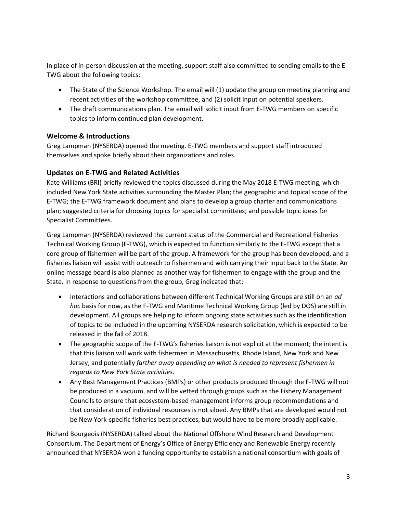In place of in-person discussion at the meeting, support staff also committed to sending emails to the E-TWG about the following topics:

- The State of the Science Workshop. The email will (1) update the group on meeting planning and recent activities of the workshop committee, and (2) solicit input on potential speakers.
- The draft communications plan. The email will solicit input from E-TWG members on specific topics to inform continued plan development.

# **Welcome & Introductions**

Greg Lampman (NYSERDA) opened the meeting. E-TWG members and support staff introduced themselves and spoke briefly about their organizations and roles.

# **Updates on E-TWG and Related Activities**

Kate Williams (BRI) briefly reviewed the topics discussed during the May 2018 E-TWG meeting, which included New York State activities surrounding the Master Plan; the geographic and topical scope of the E-TWG; the E-TWG framework document and plans to develop a group charter and communications plan; suggested criteria for choosing topics for specialist committees; and possible topic ideas for Specialist Committees.

Greg Lampman (NYSERDA) reviewed the current status of the Commercial and Recreational Fisheries Technical Working Group (F-TWG), which is expected to function similarly to the E-TWG except that a core group of fishermen will be part of the group. A framework for the group has been developed, and a fisheries liaison will assist with outreach to fishermen and with carrying their input back to the State. An online message board is also planned as another way for fishermen to engage with the group and the State. In response to questions from the group, Greg indicated that:

- Interactions and collaborations between different Technical Working Groups are still on an *ad hoc* basis for now, as the F-TWG and Maritime Technical Working Group (led by DOS) are still in development. All groups are helping to inform ongoing state activities such as the identification of topics to be included in the upcoming NYSERDA research solicitation, which is expected to be released in the fall of 2018.
- The geographic scope of the F-TWG's fisheries liaison is not explicit at the moment; the intent is that this liaison will work with fishermen in Massachusetts, Rhode Island, New York and New Jersey, and potentially *farther away depending on what is needed to represent fishermen in regards to New York State activities.*
- Any Best Management Practices (BMPs) or other products produced through the F-TWG will not be produced in a vacuum, and will be vetted through groups such as the Fishery Management Councils to ensure that ecosystem-based management informs group recommendations and that consideration of individual resources is not siloed. Any BMPs that are developed would not be New York-specific fisheries best practices, but would have to be more broadly applicable.

Richard Bourgeois (NYSERDA) talked about the National Offshore Wind Research and Development Consortium. The Department of Energy's Office of Energy Efficiency and Renewable Energy recently announced that NYSERDA won a funding opportunity to establish a national consortium with goals of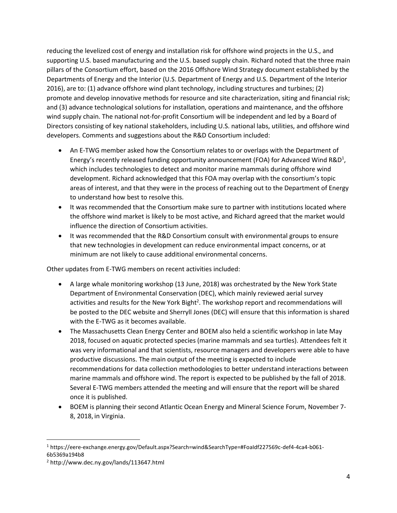reducing the levelized cost of energy and installation risk for offshore wind projects in the U.S., and supporting U.S. based manufacturing and the U.S. based supply chain. Richard noted that the three main pillars of the Consortium effort, based on the 2016 Offshore Wind Strategy document established by the Departments of Energy and the Interior (U.S. Department of Energy and U.S. Department of the Interior 2016), are to: (1) advance offshore wind plant technology, including structures and turbines; (2) promote and develop innovative methods for resource and site characterization, siting and financial risk; and (3) advance technological solutions for installation, operations and maintenance, and the offshore wind supply chain. The national not-for-profit Consortium will be independent and led by a Board of Directors consisting of key national stakeholders, including U.S. national labs, utilities, and offshore wind developers. Comments and suggestions about the R&D Consortium included:

- An E-TWG member asked how the Consortium relates to or overlaps with the Department of Energy's recently released funding opportunity announcement (FOA) for Advanced Wind R&D<sup>1</sup>, which includes technologies to detect and monitor marine mammals during offshore wind development. Richard acknowledged that this FOA may overlap with the consortium's topic areas of interest, and that they were in the process of reaching out to the Department of Energy to understand how best to resolve this.
- It was recommended that the Consortium make sure to partner with institutions located where the offshore wind market is likely to be most active, and Richard agreed that the market would influence the direction of Consortium activities.
- It was recommended that the R&D Consortium consult with environmental groups to ensure that new technologies in development can reduce environmental impact concerns, or at minimum are not likely to cause additional environmental concerns.

Other updates from E-TWG members on recent activities included:

- A large whale monitoring workshop (13 June, 2018) was orchestrated by the New York State Department of Environmental Conservation (DEC), which mainly reviewed aerial survey activities and results for the New York Bight<sup>2</sup>. The workshop report and recommendations will be posted to the DEC website and Sherryll Jones (DEC) will ensure that this information is shared with the E-TWG as it becomes available.
- The Massachusetts Clean Energy Center and BOEM also held a scientific workshop in late May 2018, focused on aquatic protected species (marine mammals and sea turtles). Attendees felt it was very informational and that scientists, resource managers and developers were able to have productive discussions. The main output of the meeting is expected to include recommendations for data collection methodologies to better understand interactions between marine mammals and offshore wind. The report is expected to be published by the fall of 2018. Several E-TWG members attended the meeting and will ensure that the report will be shared once it is published.
- BOEM is planning their second Atlantic Ocean Energy and Mineral Science Forum, November 7- 8, 2018, in Virginia.

l

<sup>1</sup> https://eere-exchange.energy.gov/Default.aspx?Search=wind&SearchType=#FoaIdf227569c-def4-4ca4-b061- 6b5369a194b8

<sup>2</sup> http://www.dec.ny.gov/lands/113647.html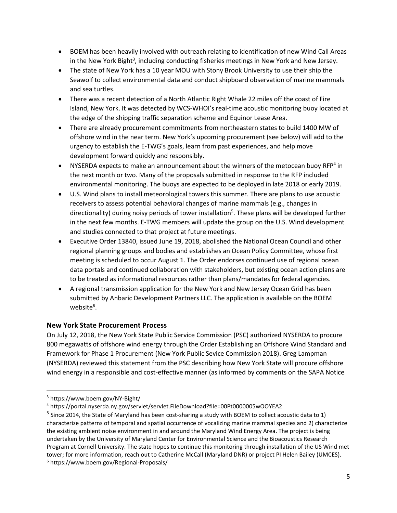- BOEM has been heavily involved with outreach relating to identification of new Wind Call Areas in the New York Bight<sup>3</sup>, including conducting fisheries meetings in New York and New Jersey.
- The state of New York has a 10 year MOU with Stony Brook University to use their ship the Seawolf to collect environmental data and conduct shipboard observation of marine mammals and sea turtles.
- There was a recent detection of a North Atlantic Right Whale 22 miles off the coast of Fire Island, New York. It was detected by WCS-WHOI's real-time acoustic monitoring buoy located at the edge of the shipping traffic separation scheme and Equinor Lease Area.
- There are already procurement commitments from northeastern states to build 1400 MW of offshore wind in the near term. New York's upcoming procurement (see below) will add to the urgency to establish the E-TWG's goals, learn from past experiences, and help move development forward quickly and responsibly.
- NYSERDA expects to make an announcement about the winners of the metocean buoy RFP<sup>4</sup> in the next month or two. Many of the proposals submitted in response to the RFP included environmental monitoring. The buoys are expected to be deployed in late 2018 or early 2019.
- U.S. Wind plans to install meteorological towers this summer. There are plans to use acoustic receivers to assess potential behavioral changes of marine mammals (e.g., changes in directionality) during noisy periods of tower installation<sup>5</sup>. These plans will be developed further in the next few months. E-TWG members will update the group on the U.S. Wind development and studies connected to that project at future meetings.
- Executive Order 13840, issued June 19, 2018, abolished the National Ocean Council and other regional planning groups and bodies and establishes an Ocean Policy Committee, whose first meeting is scheduled to occur August 1. The Order endorses continued use of regional ocean data portals and continued collaboration with stakeholders, but existing ocean action plans are to be treated as informational resources rather than plans/mandates for federal agencies.
- A regional transmission application for the New York and New Jersey Ocean Grid has been submitted by Anbaric Development Partners LLC. The application is available on the BOEM website<sup>6</sup>.

# **New York State Procurement Process**

On July 12, 2018, the New York State Public Service Commission (PSC) authorized NYSERDA to procure 800 megawatts of offshore wind energy through the Order Establishing an Offshore Wind Standard and Framework for Phase 1 Procurement (New York Public Sevice Commission 2018). Greg Lampman (NYSERDA) reviewed this statement from the PSC describing how New York State will procure offshore wind energy in a responsible and cost-effective manner (as informed by comments on the SAPA Notice

 $\overline{\phantom{a}}$ 

<sup>3</sup> https://www.boem.gov/NY-Bight/

<sup>4</sup> https://portal.nyserda.ny.gov/servlet/servlet.FileDownload?file=00Pt0000005wOOYEA2

<sup>&</sup>lt;sup>5</sup> Since 2014, the State of Maryland has been cost-sharing a study with BOEM to collect acoustic data to 1) characterize patterns of temporal and spatial occurrence of vocalizing marine mammal species and 2) characterize the existing ambient noise environment in and around the Maryland Wind Energy Area. The project is being undertaken by the University of Maryland Center for Environmental Science and the Bioacoustics Research Program at Cornell University. The state hopes to continue this monitoring through installation of the US Wind met tower; for more information, reach out to Catherine McCall (Maryland DNR) or project PI Helen Bailey (UMCES). <sup>6</sup> <https://www.boem.gov/Regional-Proposals/>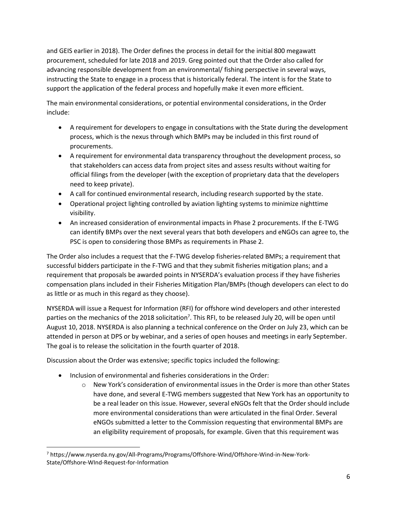and GEIS earlier in 2018). The Order defines the process in detail for the initial 800 megawatt procurement, scheduled for late 2018 and 2019. Greg pointed out that the Order also called for advancing responsible development from an environmental/ fishing perspective in several ways, instructing the State to engage in a process that is historically federal. The intent is for the State to support the application of the federal process and hopefully make it even more efficient.

The main environmental considerations, or potential environmental considerations, in the Order include:

- A requirement for developers to engage in consultations with the State during the development process, which is the nexus through which BMPs may be included in this first round of procurements.
- A requirement for environmental data transparency throughout the development process, so that stakeholders can access data from project sites and assess results without waiting for official filings from the developer (with the exception of proprietary data that the developers need to keep private).
- A call for continued environmental research, including research supported by the state.
- Operational project lighting controlled by aviation lighting systems to minimize nighttime visibility.
- An increased consideration of environmental impacts in Phase 2 procurements. If the E-TWG can identify BMPs over the next several years that both developers and eNGOs can agree to, the PSC is open to considering those BMPs as requirements in Phase 2.

The Order also includes a request that the F-TWG develop fisheries-related BMPs; a requirement that successful bidders participate in the F-TWG and that they submit fisheries mitigation plans; and a requirement that proposals be awarded points in NYSERDA's evaluation process if they have fisheries compensation plans included in their Fisheries Mitigation Plan/BMPs (though developers can elect to do as little or as much in this regard as they choose).

NYSERDA will issue a Request for Information (RFI) for offshore wind developers and other interested parties on the mechanics of the 2018 solicitation<sup>7</sup>. This RFI, to be released July 20, will be open until August 10, 2018. NYSERDA is also planning a technical conference on the Order on July 23, which can be attended in person at DPS or by webinar, and a series of open houses and meetings in early September. The goal is to release the solicitation in the fourth quarter of 2018.

Discussion about the Order was extensive; specific topics included the following:

• Inclusion of environmental and fisheries considerations in the Order:

l

 $\circ$  New York's consideration of environmental issues in the Order is more than other States have done, and several E-TWG members suggested that New York has an opportunity to be a real leader on this issue. However, several eNGOs felt that the Order should include more environmental considerations than were articulated in the final Order. Several eNGOs submitted a letter to the Commission requesting that environmental BMPs are an eligibility requirement of proposals, for example. Given that this requirement was

<sup>7</sup> https://www.nyserda.ny.gov/All-Programs/Programs/Offshore-Wind/Offshore-Wind-in-New-York-State/Offshore-WInd-Request-for-Information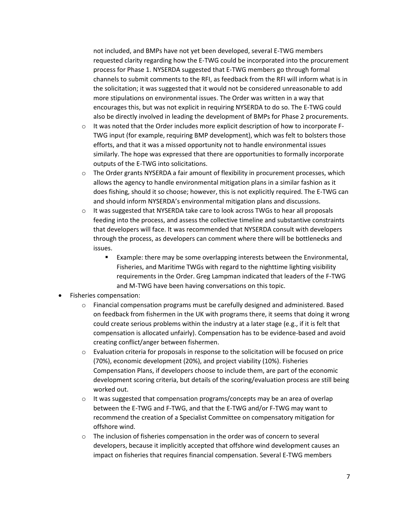not included, and BMPs have not yet been developed, several E-TWG members requested clarity regarding how the E-TWG could be incorporated into the procurement process for Phase 1. NYSERDA suggested that E-TWG members go through formal channels to submit comments to the RFI, as feedback from the RFI will inform what is in the solicitation; it was suggested that it would not be considered unreasonable to add more stipulations on environmental issues. The Order was written in a way that encourages this, but was not explicit in requiring NYSERDA to do so. The E-TWG could also be directly involved in leading the development of BMPs for Phase 2 procurements.

- $\circ$  It was noted that the Order includes more explicit description of how to incorporate F-TWG input (for example, requiring BMP development), which was felt to bolsters those efforts, and that it was a missed opportunity not to handle environmental issues similarly. The hope was expressed that there are opportunities to formally incorporate outputs of the E-TWG into solicitations.
- $\circ$  The Order grants NYSERDA a fair amount of flexibility in procurement processes, which allows the agency to handle environmental mitigation plans in a similar fashion as it does fishing, should it so choose; however, this is not explicitly required. The E-TWG can and should inform NYSERDA's environmental mitigation plans and discussions.
- $\circ$  It was suggested that NYSERDA take care to look across TWGs to hear all proposals feeding into the process, and assess the collective timeline and substantive constraints that developers will face. It was recommended that NYSERDA consult with developers through the process, as developers can comment where there will be bottlenecks and issues.
	- Example: there may be some overlapping interests between the Environmental, Fisheries, and Maritime TWGs with regard to the nighttime lighting visibility requirements in the Order. Greg Lampman indicated that leaders of the F-TWG and M-TWG have been having conversations on this topic.
- Fisheries compensation:
	- $\circ$  Financial compensation programs must be carefully designed and administered. Based on feedback from fishermen in the UK with programs there, it seems that doing it wrong could create serious problems within the industry at a later stage (e.g., if it is felt that compensation is allocated unfairly). Compensation has to be evidence-based and avoid creating conflict/anger between fishermen.
	- o Evaluation criteria for proposals in response to the solicitation will be focused on price (70%), economic development (20%), and project viability (10%). Fisheries Compensation Plans, if developers choose to include them, are part of the economic development scoring criteria, but details of the scoring/evaluation process are still being worked out.
	- $\circ$  It was suggested that compensation programs/concepts may be an area of overlap between the E-TWG and F-TWG, and that the E-TWG and/or F-TWG may want to recommend the creation of a Specialist Committee on compensatory mitigation for offshore wind.
	- $\circ$  The inclusion of fisheries compensation in the order was of concern to several developers, because it implicitly accepted that offshore wind development causes an impact on fisheries that requires financial compensation. Several E-TWG members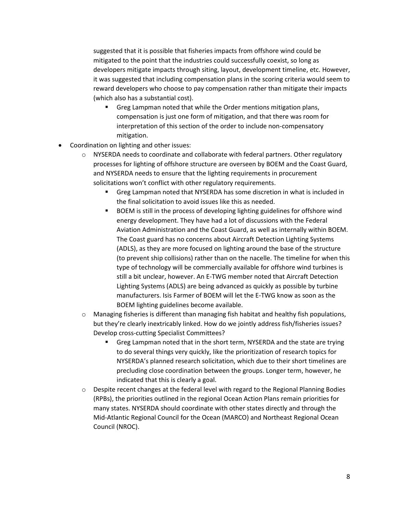suggested that it is possible that fisheries impacts from offshore wind could be mitigated to the point that the industries could successfully coexist, so long as developers mitigate impacts through siting, layout, development timeline, etc. However, it was suggested that including compensation plans in the scoring criteria would seem to reward developers who choose to pay compensation rather than mitigate their impacts (which also has a substantial cost).

- Greg Lampman noted that while the Order mentions mitigation plans, compensation is just one form of mitigation, and that there was room for interpretation of this section of the order to include non-compensatory mitigation.
- Coordination on lighting and other issues:
	- $\circ$  NYSERDA needs to coordinate and collaborate with federal partners. Other regulatory processes for lighting of offshore structure are overseen by BOEM and the Coast Guard, and NYSERDA needs to ensure that the lighting requirements in procurement solicitations won't conflict with other regulatory requirements.
		- **Greg Lampman noted that NYSERDA has some discretion in what is included in** the final solicitation to avoid issues like this as needed.
		- BOEM is still in the process of developing lighting guidelines for offshore wind energy development. They have had a lot of discussions with the Federal Aviation Administration and the Coast Guard, as well as internally within BOEM. The Coast guard has no concerns about Aircraft Detection Lighting Systems (ADLS), as they are more focused on lighting around the base of the structure (to prevent ship collisions) rather than on the nacelle. The timeline for when this type of technology will be commercially available for offshore wind turbines is still a bit unclear, however. An E-TWG member noted that Aircraft Detection Lighting Systems (ADLS) are being advanced as quickly as possible by turbine manufacturers. Isis Farmer of BOEM will let the E-TWG know as soon as the BOEM lighting guidelines become available.
	- $\circ$  Managing fisheries is different than managing fish habitat and healthy fish populations, but they're clearly inextricably linked. How do we jointly address fish/fisheries issues? Develop cross-cutting Specialist Committees?
		- Greg Lampman noted that in the short term, NYSERDA and the state are trying to do several things very quickly, like the prioritization of research topics for NYSERDA's planned research solicitation, which due to their short timelines are precluding close coordination between the groups. Longer term, however, he indicated that this is clearly a goal.
	- $\circ$  Despite recent changes at the federal level with regard to the Regional Planning Bodies (RPBs), the priorities outlined in the regional Ocean Action Plans remain priorities for many states. NYSERDA should coordinate with other states directly and through the Mid-Atlantic Regional Council for the Ocean (MARCO) and Northeast Regional Ocean Council (NROC).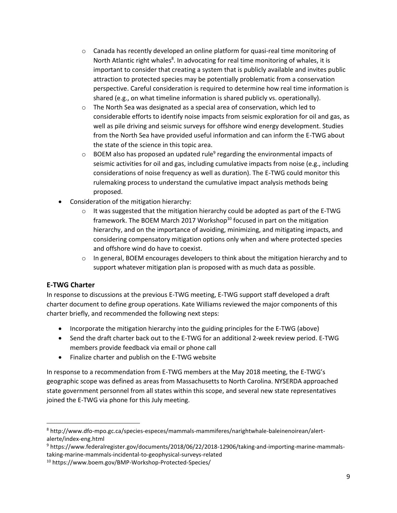- $\circ$  Canada has recently developed an online platform for quasi-real time monitoring of North Atlantic right whales<sup>8</sup>. In advocating for real time monitoring of whales, it is important to consider that creating a system that is publicly available and invites public attraction to protected species may be potentially problematic from a conservation perspective. Careful consideration is required to determine how real time information is shared (e.g., on what timeline information is shared publicly vs. operationally).
- $\circ$  The North Sea was designated as a special area of conservation, which led to considerable efforts to identify noise impacts from seismic exploration for oil and gas, as well as pile driving and seismic surveys for offshore wind energy development. Studies from the North Sea have provided useful information and can inform the E-TWG about the state of the science in this topic area.
- $\circ$  BOEM also has proposed an updated rule<sup>9</sup> regarding the environmental impacts of seismic activities for oil and gas, including cumulative impacts from noise (e.g., including considerations of noise frequency as well as duration). The E-TWG could monitor this rulemaking process to understand the cumulative impact analysis methods being proposed.
- Consideration of the mitigation hierarchy:
	- $\circ$  It was suggested that the mitigation hierarchy could be adopted as part of the E-TWG framework. The BOEM March 2017 Workshop<sup>10</sup> focused in part on the mitigation hierarchy, and on the importance of avoiding, minimizing, and mitigating impacts, and considering compensatory mitigation options only when and where protected species and offshore wind do have to coexist.
	- $\circ$  In general, BOEM encourages developers to think about the mitigation hierarchy and to support whatever mitigation plan is proposed with as much data as possible.

### **E-TWG Charter**

l

In response to discussions at the previous E-TWG meeting, E-TWG support staff developed a draft charter document to define group operations. Kate Williams reviewed the major components of this charter briefly, and recommended the following next steps:

- Incorporate the mitigation hierarchy into the guiding principles for the E-TWG (above)
- Send the draft charter back out to the E-TWG for an additional 2-week review period. E-TWG members provide feedback via email or phone call
- Finalize charter and publish on the E-TWG website

In response to a recommendation from E-TWG members at the May 2018 meeting, the E-TWG's geographic scope was defined as areas from Massachusetts to North Carolina. NYSERDA approached state government personnel from all states within this scope, and several new state representatives joined the E-TWG via phone for this July meeting.

<sup>8</sup> http://www.dfo-mpo.gc.ca/species-especes/mammals-mammiferes/narightwhale-baleinenoirean/alertalerte/index-eng.html

<sup>9</sup> https://www.federalregister.gov/documents/2018/06/22/2018-12906/taking-and-importing-marine-mammalstaking-marine-mammals-incidental-to-geophysical-surveys-related

<sup>10</sup> https://www.boem.gov/BMP-Workshop-Protected-Species/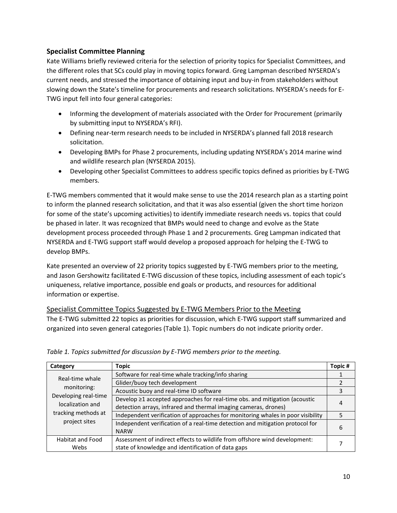# **Specialist Committee Planning**

Kate Williams briefly reviewed criteria for the selection of priority topics for Specialist Committees, and the different roles that SCs could play in moving topics forward. Greg Lampman described NYSERDA's current needs, and stressed the importance of obtaining input and buy-in from stakeholders without slowing down the State's timeline for procurements and research solicitations. NYSERDA's needs for E-TWG input fell into four general categories:

- Informing the development of materials associated with the Order for Procurement (primarily by submitting input to NYSERDA's RFI).
- Defining near-term research needs to be included in NYSERDA's planned fall 2018 research solicitation.
- Developing BMPs for Phase 2 procurements, including updating NYSERDA's 2014 marine wind and wildlife research plan (NYSERDA 2015).
- Developing other Specialist Committees to address specific topics defined as priorities by E-TWG members.

E-TWG members commented that it would make sense to use the 2014 research plan as a starting point to inform the planned research solicitation, and that it was also essential (given the short time horizon for some of the state's upcoming activities) to identify immediate research needs vs. topics that could be phased in later. It was recognized that BMPs would need to change and evolve as the State development process proceeded through Phase 1 and 2 procurements. Greg Lampman indicated that NYSERDA and E-TWG support staff would develop a proposed approach for helping the E-TWG to develop BMPs.

Kate presented an overview of 22 priority topics suggested by E-TWG members prior to the meeting, and Jason Gershowitz facilitated E-TWG discussion of these topics, including assessment of each topic's uniqueness, relative importance, possible end goals or products, and resources for additional information or expertise.

### Specialist Committee Topics Suggested by E-TWG Members Prior to the Meeting

The E-TWG submitted 22 topics as priorities for discussion, which E-TWG support staff summarized and organized into seven general categories (Table 1). Topic numbers do not indicate priority order.

| Category                                                 | Topic                                                                                        | Topic# |  |
|----------------------------------------------------------|----------------------------------------------------------------------------------------------|--------|--|
| Real-time whale<br>monitoring:                           | Software for real-time whale tracking/info sharing                                           |        |  |
|                                                          | Glider/buoy tech development                                                                 |        |  |
|                                                          | Acoustic buoy and real-time ID software                                                      |        |  |
| Developing real-time                                     | Develop ≥1 accepted approaches for real-time obs. and mitigation (acoustic                   |        |  |
| localization and<br>tracking methods at<br>project sites | detection arrays, infrared and thermal imaging cameras, drones)                              |        |  |
|                                                          | Independent verification of approaches for monitoring whales in poor visibility              |        |  |
|                                                          | Independent verification of a real-time detection and mitigation protocol for<br><b>NARW</b> | b      |  |
| <b>Habitat and Food</b>                                  | Assessment of indirect effects to wildlife from offshore wind development:                   |        |  |
| Webs                                                     | state of knowledge and identification of data gaps                                           |        |  |

#### *Table 1. Topics submitted for discussion by E-TWG members prior to the meeting.*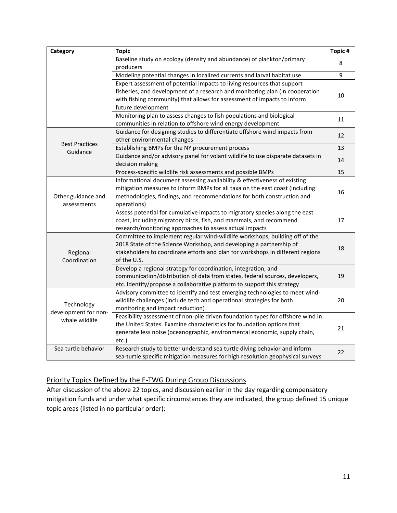| Category                                             | <b>Topic</b>                                                                                                                                                                                                                                             | Topic# |
|------------------------------------------------------|----------------------------------------------------------------------------------------------------------------------------------------------------------------------------------------------------------------------------------------------------------|--------|
|                                                      | Baseline study on ecology (density and abundance) of plankton/primary<br>producers                                                                                                                                                                       | 8      |
|                                                      | Modeling potential changes in localized currents and larval habitat use                                                                                                                                                                                  | 9      |
|                                                      | Expert assessment of potential impacts to living resources that support<br>fisheries, and development of a research and monitoring plan (in cooperation<br>with fishing community) that allows for assessment of impacts to inform<br>future development | 10     |
|                                                      | Monitoring plan to assess changes to fish populations and biological<br>communities in relation to offshore wind energy development                                                                                                                      | 11     |
|                                                      | Guidance for designing studies to differentiate offshore wind impacts from<br>other environmental changes                                                                                                                                                | 12     |
| <b>Best Practices</b><br>Guidance                    | Establishing BMPs for the NY procurement process                                                                                                                                                                                                         | 13     |
|                                                      | Guidance and/or advisory panel for volant wildlife to use disparate datasets in<br>decision making                                                                                                                                                       | 14     |
|                                                      | Process-specific wildlife risk assessments and possible BMPs                                                                                                                                                                                             | 15     |
| Other guidance and<br>assessments                    | Informational document assessing availability & effectiveness of existing<br>mitigation measures to inform BMPs for all taxa on the east coast (including<br>methodologies, findings, and recommendations for both construction and<br>operations)       | 16     |
|                                                      | Assess potential for cumulative impacts to migratory species along the east<br>coast, including migratory birds, fish, and mammals, and recommend<br>research/monitoring approaches to assess actual impacts                                             | 17     |
| Regional<br>Coordination                             | Committee to implement regular wind-wildlife workshops, building off of the<br>2018 State of the Science Workshop, and developing a partnership of<br>stakeholders to coordinate efforts and plan for workshops in different regions<br>of the U.S.      | 18     |
|                                                      | Develop a regional strategy for coordination, integration, and<br>communication/distribution of data from states, federal sources, developers,<br>etc. Identify/propose a collaborative platform to support this strategy                                | 19     |
| Technology<br>development for non-<br>whale wildlife | Advisory committee to identify and test emerging technologies to meet wind-<br>wildlife challenges (include tech and operational strategies for both<br>monitoring and impact reduction)                                                                 | 20     |
|                                                      | Feasibility assessment of non-pile driven foundation types for offshore wind in<br>the United States. Examine characteristics for foundation options that<br>generate less noise (oceanographic, environmental economic, supply chain,<br>etc.)          | 21     |
| Sea turtle behavior                                  | Research study to better understand sea turtle diving behavior and inform<br>sea-turtle specific mitigation measures for high resolution geophysical surveys                                                                                             | 22     |

# Priority Topics Defined by the E-TWG During Group Discussions

After discussion of the above 22 topics, and discussion earlier in the day regarding compensatory mitigation funds and under what specific circumstances they are indicated, the group defined 15 unique topic areas (listed in no particular order):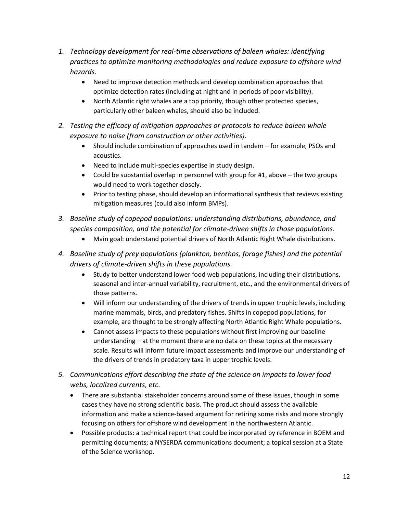- *1. Technology development for real-time observations of baleen whales: identifying practices to optimize monitoring methodologies and reduce exposure to offshore wind hazards.*
	- Need to improve detection methods and develop combination approaches that optimize detection rates (including at night and in periods of poor visibility).
	- North Atlantic right whales are a top priority, though other protected species, particularly other baleen whales, should also be included.
- *2. Testing the efficacy of mitigation approaches or protocols to reduce baleen whale exposure to noise (from construction or other activities).*
	- Should include combination of approaches used in tandem for example, PSOs and acoustics.
	- Need to include multi-species expertise in study design.
	- Could be substantial overlap in personnel with group for  $#1$ , above the two groups would need to work together closely.
	- Prior to testing phase, should develop an informational synthesis that reviews existing mitigation measures (could also inform BMPs).
- *3. Baseline study of copepod populations: understanding distributions, abundance, and species composition, and the potential for climate-driven shifts in those populations.*
	- Main goal: understand potential drivers of North Atlantic Right Whale distributions.
- *4. Baseline study of prey populations (plankton, benthos, forage fishes) and the potential drivers of climate-driven shifts in these populations.*
	- Study to better understand lower food web populations, including their distributions, seasonal and inter-annual variability, recruitment, etc., and the environmental drivers of those patterns.
	- Will inform our understanding of the drivers of trends in upper trophic levels, including marine mammals, birds, and predatory fishes. Shifts in copepod populations, for example, are thought to be strongly affecting North Atlantic Right Whale populations.
	- Cannot assess impacts to these populations without first improving our baseline understanding – at the moment there are no data on these topics at the necessary scale. Results will inform future impact assessments and improve our understanding of the drivers of trends in predatory taxa in upper trophic levels.
- *5. Communications effort describing the state of the science on impacts to lower food webs, localized currents, etc.*
	- There are substantial stakeholder concerns around some of these issues, though in some cases they have no strong scientific basis. The product should assess the available information and make a science-based argument for retiring some risks and more strongly focusing on others for offshore wind development in the northwestern Atlantic.
	- Possible products: a technical report that could be incorporated by reference in BOEM and permitting documents; a NYSERDA communications document; a topical session at a State of the Science workshop.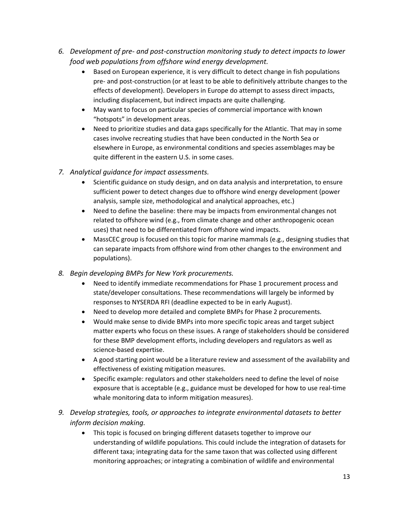- *6. Development of pre- and post-construction monitoring study to detect impacts to lower food web populations from offshore wind energy development.*
	- Based on European experience, it is very difficult to detect change in fish populations pre- and post-construction (or at least to be able to definitively attribute changes to the effects of development). Developers in Europe do attempt to assess direct impacts, including displacement, but indirect impacts are quite challenging.
	- May want to focus on particular species of commercial importance with known "hotspots" in development areas.
	- Need to prioritize studies and data gaps specifically for the Atlantic. That may in some cases involve recreating studies that have been conducted in the North Sea or elsewhere in Europe, as environmental conditions and species assemblages may be quite different in the eastern U.S. in some cases.
- *7. Analytical guidance for impact assessments.*
	- Scientific guidance on study design, and on data analysis and interpretation, to ensure sufficient power to detect changes due to offshore wind energy development (power analysis, sample size, methodological and analytical approaches, etc.)
	- Need to define the baseline: there may be impacts from environmental changes not related to offshore wind (e.g., from climate change and other anthropogenic ocean uses) that need to be differentiated from offshore wind impacts.
	- MassCEC group is focused on this topic for marine mammals (e.g., designing studies that can separate impacts from offshore wind from other changes to the environment and populations).
- *8. Begin developing BMPs for New York procurements.* 
	- Need to identify immediate recommendations for Phase 1 procurement process and state/developer consultations. These recommendations will largely be informed by responses to NYSERDA RFI (deadline expected to be in early August).
	- Need to develop more detailed and complete BMPs for Phase 2 procurements.
	- Would make sense to divide BMPs into more specific topic areas and target subject matter experts who focus on these issues. A range of stakeholders should be considered for these BMP development efforts, including developers and regulators as well as science-based expertise.
	- A good starting point would be a literature review and assessment of the availability and effectiveness of existing mitigation measures.
	- Specific example: regulators and other stakeholders need to define the level of noise exposure that is acceptable (e.g., guidance must be developed for how to use real-time whale monitoring data to inform mitigation measures).
- *9. Develop strategies, tools, or approaches to integrate environmental datasets to better inform decision making.* 
	- This topic is focused on bringing different datasets together to improve our understanding of wildlife populations. This could include the integration of datasets for different taxa; integrating data for the same taxon that was collected using different monitoring approaches; or integrating a combination of wildlife and environmental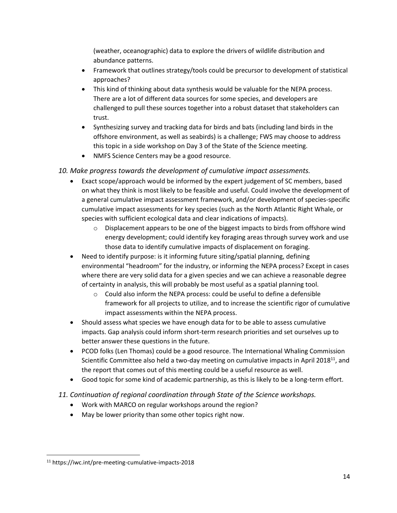(weather, oceanographic) data to explore the drivers of wildlife distribution and abundance patterns.

- Framework that outlines strategy/tools could be precursor to development of statistical approaches?
- This kind of thinking about data synthesis would be valuable for the NEPA process. There are a lot of different data sources for some species, and developers are challenged to pull these sources together into a robust dataset that stakeholders can trust.
- Synthesizing survey and tracking data for birds and bats (including land birds in the offshore environment, as well as seabirds) is a challenge; FWS may choose to address this topic in a side workshop on Day 3 of the State of the Science meeting.
- NMFS Science Centers may be a good resource.
- *10. Make progress towards the development of cumulative impact assessments.*
	- Exact scope/approach would be informed by the expert judgement of SC members, based on what they think is most likely to be feasible and useful. Could involve the development of a general cumulative impact assessment framework, and/or development of species-specific cumulative impact assessments for key species (such as the North Atlantic Right Whale, or species with sufficient ecological data and clear indications of impacts).
		- $\circ$  Displacement appears to be one of the biggest impacts to birds from offshore wind energy development; could identify key foraging areas through survey work and use those data to identify cumulative impacts of displacement on foraging.
	- Need to identify purpose: is it informing future siting/spatial planning, defining environmental "headroom" for the industry, or informing the NEPA process? Except in cases where there are very solid data for a given species and we can achieve a reasonable degree of certainty in analysis, this will probably be most useful as a spatial planning tool.
		- $\circ$  Could also inform the NEPA process: could be useful to define a defensible framework for all projects to utilize, and to increase the scientific rigor of cumulative impact assessments within the NEPA process.
	- Should assess what species we have enough data for to be able to assess cumulative impacts. Gap analysis could inform short-term research priorities and set ourselves up to better answer these questions in the future.
	- PCOD folks (Len Thomas) could be a good resource. The International Whaling Commission Scientific Committee also held a two-day meeting on cumulative impacts in April 2018 $^{11}$ , and the report that comes out of this meeting could be a useful resource as well.
	- Good topic for some kind of academic partnership, as this is likely to be a long-term effort.
- *11. Continuation of regional coordination through State of the Science workshops.*
	- Work with MARCO on regular workshops around the region?
	- May be lower priority than some other topics right now.

 $\overline{\phantom{a}}$ <sup>11</sup> https://iwc.int/pre-meeting-cumulative-impacts-2018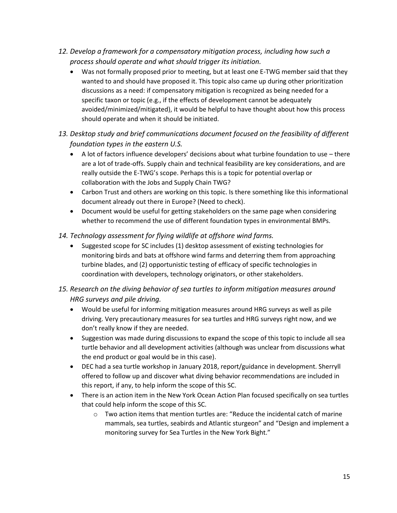- *12. Develop a framework for a compensatory mitigation process, including how such a process should operate and what should trigger its initiation.*
	- Was not formally proposed prior to meeting, but at least one E-TWG member said that they wanted to and should have proposed it. This topic also came up during other prioritization discussions as a need: if compensatory mitigation is recognized as being needed for a specific taxon or topic (e.g., if the effects of development cannot be adequately avoided/minimized/mitigated), it would be helpful to have thought about how this process should operate and when it should be initiated.
- *13. Desktop study and brief communications document focused on the feasibility of different foundation types in the eastern U.S.*
	- A lot of factors influence developers' decisions about what turbine foundation to use there are a lot of trade-offs. Supply chain and technical feasibility are key considerations, and are really outside the E-TWG's scope. Perhaps this is a topic for potential overlap or collaboration with the Jobs and Supply Chain TWG?
	- Carbon Trust and others are working on this topic. Is there something like this informational document already out there in Europe? (Need to check).
	- Document would be useful for getting stakeholders on the same page when considering whether to recommend the use of different foundation types in environmental BMPs.
- *14. Technology assessment for flying wildlife at offshore wind farms.*
	- Suggested scope for SC includes (1) desktop assessment of existing technologies for monitoring birds and bats at offshore wind farms and deterring them from approaching turbine blades, and (2) opportunistic testing of efficacy of specific technologies in coordination with developers, technology originators, or other stakeholders.
- *15. Research on the diving behavior of sea turtles to inform mitigation measures around HRG surveys and pile driving.*
	- Would be useful for informing mitigation measures around HRG surveys as well as pile driving. Very precautionary measures for sea turtles and HRG surveys right now, and we don't really know if they are needed.
	- Suggestion was made during discussions to expand the scope of this topic to include all sea turtle behavior and all development activities (although was unclear from discussions what the end product or goal would be in this case).
	- DEC had a sea turtle workshop in January 2018, report/guidance in development. Sherryll offered to follow up and discover what diving behavior recommendations are included in this report, if any, to help inform the scope of this SC.
	- There is an action item in the New York Ocean Action Plan focused specifically on sea turtles that could help inform the scope of this SC.
		- $\circ$  Two action items that mention turtles are: "Reduce the incidental catch of marine mammals, sea turtles, seabirds and Atlantic sturgeon" and "Design and implement a monitoring survey for Sea Turtles in the New York Bight."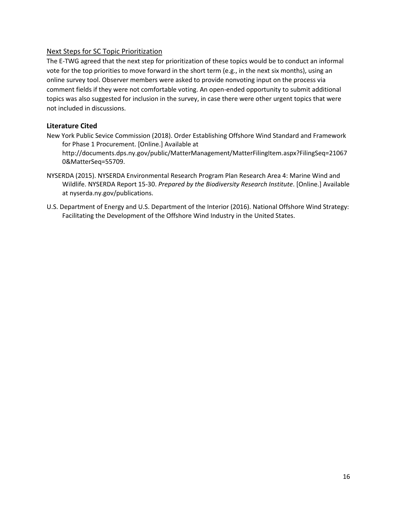# Next Steps for SC Topic Prioritization

The E-TWG agreed that the next step for prioritization of these topics would be to conduct an informal vote for the top priorities to move forward in the short term (e.g., in the next six months), using an online survey tool. Observer members were asked to provide nonvoting input on the process via comment fields if they were not comfortable voting. An open-ended opportunity to submit additional topics was also suggested for inclusion in the survey, in case there were other urgent topics that were not included in discussions.

# **Literature Cited**

- New York Public Sevice Commission (2018). Order Establishing Offshore Wind Standard and Framework for Phase 1 Procurement. [Online.] Available at http://documents.dps.ny.gov/public/MatterManagement/MatterFilingItem.aspx?FilingSeq=21067 0&MatterSeq=55709.
- NYSERDA (2015). NYSERDA Environmental Research Program Plan Research Area 4: Marine Wind and Wildlife. NYSERDA Report 15-30. *Prepared by the Biodiversity Research Institute*. [Online.] Available at nyserda.ny.gov/publications.
- U.S. Department of Energy and U.S. Department of the Interior (2016). National Offshore Wind Strategy: Facilitating the Development of the Offshore Wind Industry in the United States.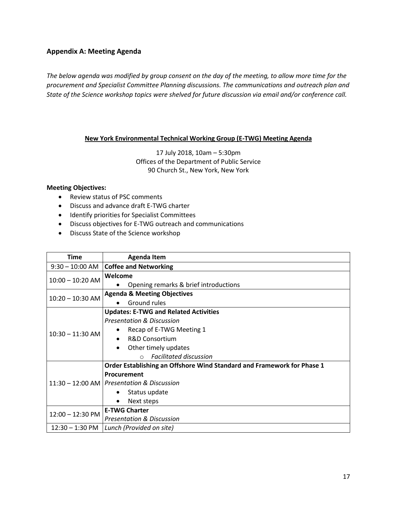## **Appendix A: Meeting Agenda**

*The below agenda was modified by group consent on the day of the meeting, to allow more time for the procurement and Specialist Committee Planning discussions. The communications and outreach plan and State of the Science workshop topics were shelved for future discussion via email and/or conference call.*

# **New York Environmental Technical Working Group (E-TWG) Meeting Agenda**

17 July 2018, 10am – 5:30pm Offices of the Department of Public Service 90 Church St., New York, New York

#### **Meeting Objectives:**

- Review status of PSC comments
- Discuss and advance draft E-TWG charter
- Identify priorities for Specialist Committees
- Discuss objectives for E-TWG outreach and communications
- Discuss State of the Science workshop

| Time                       | <b>Agenda Item</b>                                                                                                                                                                                                                             |
|----------------------------|------------------------------------------------------------------------------------------------------------------------------------------------------------------------------------------------------------------------------------------------|
| $9:30 - 10:00$ AM          | <b>Coffee and Networking</b>                                                                                                                                                                                                                   |
| $10:00 - 10:20$ AM         | Welcome<br>Opening remarks & brief introductions<br>$\bullet$                                                                                                                                                                                  |
| $10:20 - 10:30$ AM         | <b>Agenda &amp; Meeting Objectives</b><br>Ground rules<br>$\bullet$                                                                                                                                                                            |
| $10:30 - 11:30$ AM         | <b>Updates: E-TWG and Related Activities</b><br><b>Presentation &amp; Discussion</b><br>Recap of E-TWG Meeting 1<br><b>R&amp;D Consortium</b><br>$\bullet$<br>Other timely updates<br>$\bullet$<br><b>Facilitated discussion</b><br>$\bigcirc$ |
|                            | Order Establishing an Offshore Wind Standard and Framework for Phase 1<br>Procurement<br>11:30 - 12:00 AM   Presentation & Discussion<br>Status update<br>٠<br>Next steps<br>$\bullet$                                                         |
| $12:00 - 12:30 \text{ PM}$ | <b>E-TWG Charter</b><br><b>Presentation &amp; Discussion</b>                                                                                                                                                                                   |
|                            | $12:30 - 1:30 \text{ PM}$ Lunch (Provided on site)                                                                                                                                                                                             |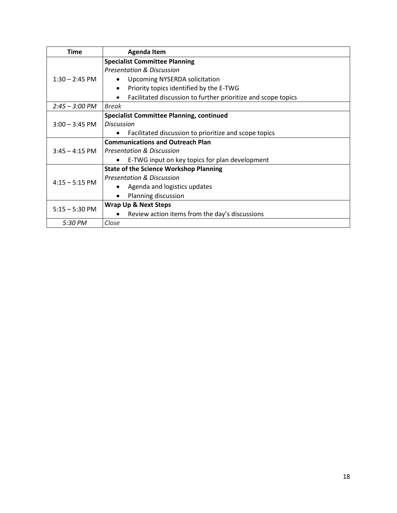| <b>Time</b>              | <b>Agenda Item</b>                                            |
|--------------------------|---------------------------------------------------------------|
|                          | <b>Specialist Committee Planning</b>                          |
|                          | <b>Presentation &amp; Discussion</b>                          |
| $1:30 - 2:45$ PM         | <b>Upcoming NYSERDA solicitation</b><br>$\bullet$             |
|                          | Priority topics identified by the E-TWG<br>$\bullet$          |
|                          | Facilitated discussion to further prioritize and scope topics |
| $2:45 - 3:00 \text{ PM}$ | Break                                                         |
| $3:00 - 3:45$ PM         | <b>Specialist Committee Planning, continued</b>               |
|                          | <b>Discussion</b>                                             |
|                          | Facilitated discussion to prioritize and scope topics<br>٠    |
|                          | <b>Communications and Outreach Plan</b>                       |
| $3:45 - 4:15$ PM         | <b>Presentation &amp; Discussion</b>                          |
|                          | E-TWG input on key topics for plan development                |
| $4:15 - 5:15$ PM         | <b>State of the Science Workshop Planning</b>                 |
|                          | <b>Presentation &amp; Discussion</b>                          |
|                          | Agenda and logistics updates                                  |
|                          | Planning discussion<br>$\bullet$                              |
| $5:15 - 5:30$ PM         | <b>Wrap Up &amp; Next Steps</b>                               |
|                          | Review action items from the day's discussions                |
| 5:30 PM                  | Close                                                         |